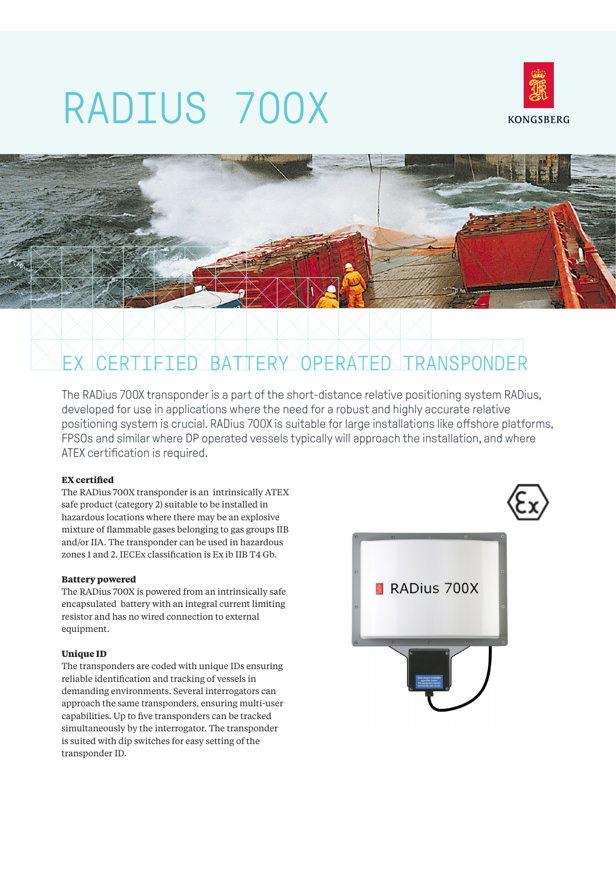# RADIUS 700X





The RADius 700X transponder is a part of the short-distance relative positioning system RADius, developed for use in applications where the need for a robust and highly accurate relative positioning system is crucial. RADius 700X is suitable for large installations like offshore platforms, FPSOs and similar where DP operated vessels typically will approach the installation, and where ATEX certification is required.

## **EX certified**

The RADius 700X transponder is an intrinsically ATEX safe product (category 2) suitable to be installed in hazardous locations where there may be an explosive mixture of flammable gases belonging to gas groups IIB and/or IIA. The transponder can be used in hazardous zones 1 and 2. IECEx classification is Ex ib IIB T4 Gb.

# **Battery powered**

The RADius 700X is powered from an intrinsically safe encapsulated battery with an integral current limiting resistor and has no wired connection to external equipment.

# **Unique ID**

The transponders are coded with unique IDs ensuring reliable identification and tracking of vessels in demanding environments. Several interrogators can approach the same transponders, ensuring multi-user capabilities. Up to five transponders can be tracked simultaneously by the interrogator. The transponder is suited with dip switches for easy setting of the transponder ID.